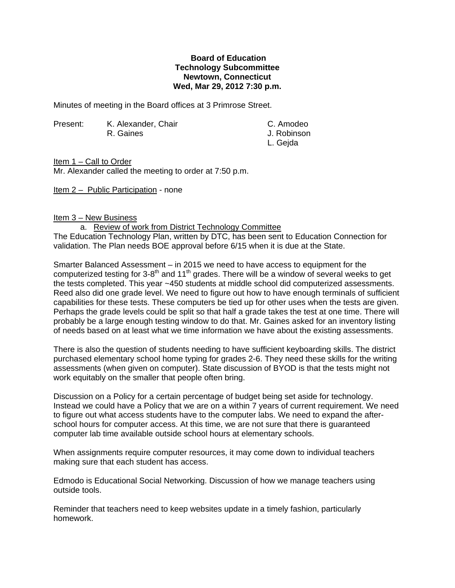## **Board of Education Technology Subcommittee Newtown, Connecticut Wed, Mar 29, 2012 7:30 p.m.**

Minutes of meeting in the Board offices at 3 Primrose Street.

Present: K. Alexander, Chair C. Amodeo R. Gaines **I. Robinson** 

L. Gejda

Item 1 – Call to Order

Mr. Alexander called the meeting to order at 7:50 p.m.

Item 2 – Public Participation - none

## Item 3 – New Business

a. Review of work from District Technology Committee

The Education Technology Plan, written by DTC, has been sent to Education Connection for validation. The Plan needs BOE approval before 6/15 when it is due at the State.

Smarter Balanced Assessment – in 2015 we need to have access to equipment for the computerized testing for 3-8<sup>th</sup> and 11<sup>th</sup> grades. There will be a window of several weeks to get the tests completed. This year ~450 students at middle school did computerized assessments. Reed also did one grade level. We need to figure out how to have enough terminals of sufficient capabilities for these tests. These computers be tied up for other uses when the tests are given. Perhaps the grade levels could be split so that half a grade takes the test at one time. There will probably be a large enough testing window to do that. Mr. Gaines asked for an inventory listing of needs based on at least what we time information we have about the existing assessments.

There is also the question of students needing to have sufficient keyboarding skills. The district purchased elementary school home typing for grades 2-6. They need these skills for the writing assessments (when given on computer). State discussion of BYOD is that the tests might not work equitably on the smaller that people often bring.

Discussion on a Policy for a certain percentage of budget being set aside for technology. Instead we could have a Policy that we are on a within 7 years of current requirement. We need to figure out what access students have to the computer labs. We need to expand the afterschool hours for computer access. At this time, we are not sure that there is guaranteed computer lab time available outside school hours at elementary schools.

When assignments require computer resources, it may come down to individual teachers making sure that each student has access.

Edmodo is Educational Social Networking. Discussion of how we manage teachers using outside tools.

Reminder that teachers need to keep websites update in a timely fashion, particularly homework.